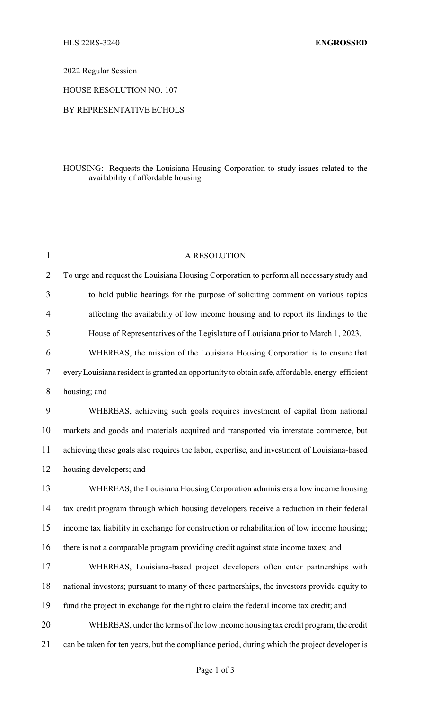2022 Regular Session

HOUSE RESOLUTION NO. 107

## BY REPRESENTATIVE ECHOLS

## HOUSING: Requests the Louisiana Housing Corporation to study issues related to the availability of affordable housing

| 1              | A RESOLUTION                                                                                    |
|----------------|-------------------------------------------------------------------------------------------------|
| $\overline{2}$ | To urge and request the Louisiana Housing Corporation to perform all necessary study and        |
| 3              | to hold public hearings for the purpose of soliciting comment on various topics                 |
| 4              | affecting the availability of low income housing and to report its findings to the              |
| 5              | House of Representatives of the Legislature of Louisiana prior to March 1, 2023.                |
| 6              | WHEREAS, the mission of the Louisiana Housing Corporation is to ensure that                     |
| 7              | every Louisiana resident is granted an opportunity to obtain safe, affordable, energy-efficient |
| 8              | housing; and                                                                                    |
| 9              | WHEREAS, achieving such goals requires investment of capital from national                      |
| 10             | markets and goods and materials acquired and transported via interstate commerce, but           |
| 11             | achieving these goals also requires the labor, expertise, and investment of Louisiana-based     |
| 12             | housing developers; and                                                                         |
| 13             | WHEREAS, the Louisiana Housing Corporation administers a low income housing                     |
| 14             | tax credit program through which housing developers receive a reduction in their federal        |
| 15             | income tax liability in exchange for construction or rehabilitation of low income housing;      |
| 16             | there is not a comparable program providing credit against state income taxes; and              |
| 17             | WHEREAS, Louisiana-based project developers often enter partnerships with                       |
| 18             | national investors; pursuant to many of these partnerships, the investors provide equity to     |
| 19             | fund the project in exchange for the right to claim the federal income tax credit; and          |
| 20             | WHEREAS, under the terms of the low income housing tax credit program, the credit               |
| 21             | can be taken for ten years, but the compliance period, during which the project developer is    |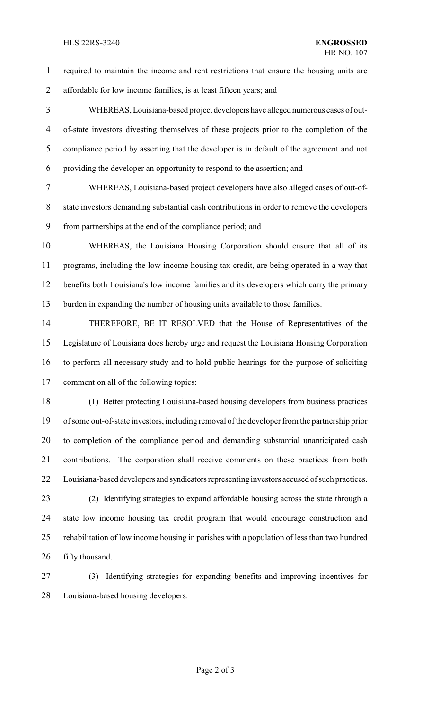## HLS 22RS-3240 **ENGROSSED**

 required to maintain the income and rent restrictions that ensure the housing units are affordable for low income families, is at least fifteen years; and

 WHEREAS, Louisiana-based project developers have alleged numerous cases of out- of-state investors divesting themselves of these projects prior to the completion of the compliance period by asserting that the developer is in default of the agreement and not providing the developer an opportunity to respond to the assertion; and

 WHEREAS, Louisiana-based project developers have also alleged cases of out-of- state investors demanding substantial cash contributions in order to remove the developers from partnerships at the end of the compliance period; and

 WHEREAS, the Louisiana Housing Corporation should ensure that all of its programs, including the low income housing tax credit, are being operated in a way that benefits both Louisiana's low income families and its developers which carry the primary burden in expanding the number of housing units available to those families.

 THEREFORE, BE IT RESOLVED that the House of Representatives of the Legislature of Louisiana does hereby urge and request the Louisiana Housing Corporation to perform all necessary study and to hold public hearings for the purpose of soliciting comment on all of the following topics:

 (1) Better protecting Louisiana-based housing developers from business practices of some out-of-state investors, including removal of the developer from the partnership prior to completion of the compliance period and demanding substantial unanticipated cash contributions. The corporation shall receive comments on these practices from both 22 Louisiana-based developers and syndicators representing investors accused of such practices. (2) Identifying strategies to expand affordable housing across the state through a state low income housing tax credit program that would encourage construction and

 rehabilitation of low income housing in parishes with a population of less than two hundred fifty thousand.

 (3) Identifying strategies for expanding benefits and improving incentives for Louisiana-based housing developers.